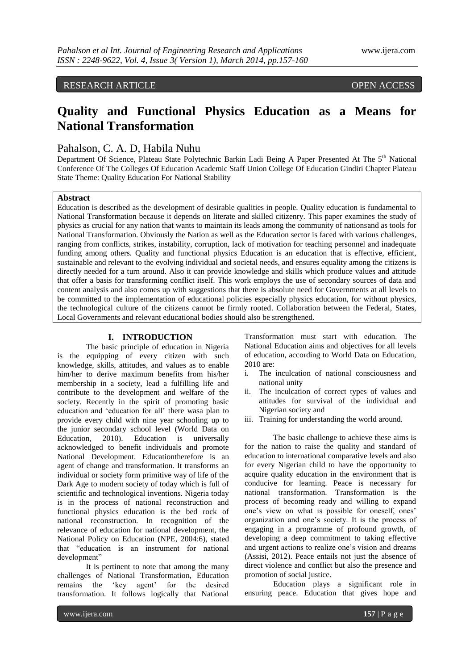# RESEARCH ARTICLE OPEN ACCESS

# **Quality and Functional Physics Education as a Means for National Transformation**

## Pahalson, C. A. D, Habila Nuhu

Department Of Science, Plateau State Polytechnic Barkin Ladi Being A Paper Presented At The 5<sup>th</sup> National Conference Of The Colleges Of Education Academic Staff Union College Of Education Gindiri Chapter Plateau State Theme: Quality Education For National Stability

#### **Abstract**

Education is described as the development of desirable qualities in people. Quality education is fundamental to National Transformation because it depends on literate and skilled citizenry. This paper examines the study of physics as crucial for any nation that wants to maintain its leads among the community of nationsand as tools for National Transformation. Obviously the Nation as well as the Education sector is faced with various challenges, ranging from conflicts, strikes, instability, corruption, lack of motivation for teaching personnel and inadequate funding among others. Quality and functional physics Education is an education that is effective, efficient, sustainable and relevant to the evolving individual and societal needs, and ensures equality among the citizens is directly needed for a turn around. Also it can provide knowledge and skills which produce values and attitude that offer a basis for transforming conflict itself. This work employs the use of secondary sources of data and content analysis and also comes up with suggestions that there is absolute need for Governments at all levels to be committed to the implementation of educational policies especially physics education, for without physics, the technological culture of the citizens cannot be firmly rooted. Collaboration between the Federal, States, Local Governments and relevant educational bodies should also be strengthened.

#### **I. INTRODUCTION**

The basic principle of education in Nigeria is the equipping of every citizen with such knowledge, skills, attitudes, and values as to enable him/her to derive maximum benefits from his/her membership in a society, lead a fulfilling life and contribute to the development and welfare of the society. Recently in the spirit of promoting basic education and "education for all" there wasa plan to provide every child with nine year schooling up to the junior secondary school level (World Data on Education, 2010). Education is universally acknowledged to benefit individuals and promote National Development. Educationtherefore is an agent of change and transformation. It transforms an individual or society form primitive way of life of the Dark Age to modern society of today which is full of scientific and technological inventions. Nigeria today is in the process of national reconstruction and functional physics education is the bed rock of national reconstruction. In recognition of the relevance of education for national development, the National Policy on Education (NPE, 2004:6), stated that "education is an instrument for national development"

It is pertinent to note that among the many challenges of National Transformation, Education remains the "key agent" for the desired transformation. It follows logically that National

Transformation must start with education. The National Education aims and objectives for all levels of education, according to World Data on Education, 2010 are:

- i. The inculcation of national consciousness and national unity
- ii. The inculcation of correct types of values and attitudes for survival of the individual and Nigerian society and
- iii. Training for understanding the world around.

The basic challenge to achieve these aims is for the nation to raise the quality and standard of education to international comparative levels and also for every Nigerian child to have the opportunity to acquire quality education in the environment that is conducive for learning. Peace is necessary for national transformation. Transformation is the process of becoming ready and willing to expand one"s view on what is possible for oneself, ones" organization and one"s society. It is the process of engaging in a programme of profound growth, of developing a deep commitment to taking effective and urgent actions to realize one's vision and dreams (Assisi, 2012). Peace entails not just the absence of direct violence and conflict but also the presence and promotion of social justice.

Education plays a significant role in ensuring peace. Education that gives hope and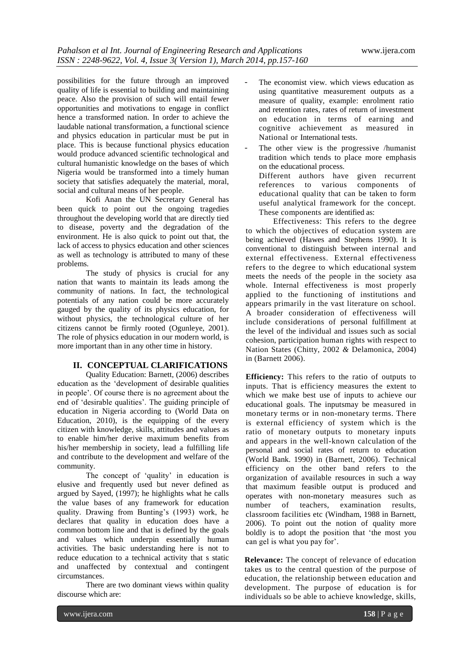possibilities for the future through an improved quality of life is essential to building and maintaining peace. Also the provision of such will entail fewer opportunities and motivations to engage in conflict hence a transformed nation. In order to achieve the laudable national transformation, a functional science and physics education in particular must be put in place. This is because functional physics education would produce advanced scientific technological and cultural humanistic knowledge on the bases of which Nigeria would be transformed into a timely human society that satisfies adequately the material, moral, social and cultural means of her people.

Kofi Anan the UN Secretary General has been quick to point out the ongoing tragedies throughout the developing world that are directly tied to disease, poverty and the degradation of the environment. He is also quick to point out that, the lack of access to physics education and other sciences as well as technology is attributed to many of these problems.

The study of physics is crucial for any nation that wants to maintain its leads among the community of nations. In fact, the technological potentials of any nation could be more accurately gauged by the quality of its physics education, for without physics, the technological culture of her citizens cannot be firmly rooted (Ogunleye, 2001). The role of physics education in our modern world, is more important than in any other time in history.

### **II. CONCEPTUAL CLARIFICATIONS**

Quality Education: Barnett, (2006) describes education as the "development of desirable qualities in people". Of course there is no agreement about the end of 'desirable qualities'. The guiding principle of education in Nigeria according to (World Data on Education, 2010), is the equipping of the every citizen with knowledge, skills, attitudes and values as to enable him/her derive maximum benefits from his/her membership in society, lead a fulfilling life and contribute to the development and welfare of the community.

The concept of 'quality' in education is elusive and frequently used but never defined as argued by Sayed, (1997); he highlights what he calls the value bases of any framework for education quality. Drawing from Bunting"s (1993) work, he declares that quality in education does have a common bottom line and that is defined by the goals and values which underpin essentially human activities. The basic understanding here is not to reduce education to a technical activity that s static and unaffected by contextual and contingent circumstances.

There are two dominant views within quality discourse which are:

- The economist view. which views education as using quantitative measurement outputs as a measure of quality, example: enrolment ratio and retention rates, rates of return of investment on education in terms of earning and cognitive achievement as measured in National or International tests.
- The other view is the progressive /humanist tradition which tends to place more emphasis on the educational process. Different authors have given recurrent references to various components of educational quality that can be taken to form useful analytical framework for the concept. These components are identified as:

Effectiveness: This refers to the degree to which the objectives of education system are being achieved (Hawes and Stephens 1990). It is conventional to distinguish between internal and external effectiveness. External effectiveness refers to the degree to which educational system meets the needs of the people in the society asa whole. Internal effectiveness is most properly applied to the functioning of institutions and appears primarily in the vast literature on school. A broader consideration of effectiveness will include considerations of personal fulfillment at the level of the individual and issues such as social cohesion, participation human rights with respect to Nation States (Chitty, 2002 *&* Delamonica, 2004) in (Barnett 2006).

**Efficiency:** This refers to the ratio of outputs to inputs. That is efficiency measures the extent to which we make best use of inputs to achieve our educational goals. The inputsmay be measured in monetary terms or in non-monetary terms. There is external efficiency of system which is the ratio of monetary outputs to monetary inputs and appears in the well-known calculation of the personal and social rates of return to education (World Bank. 1990) in (Barnett, 2006). Technical efficiency on the other band refers to the organization of available resources in such a way that maximum feasible output is produced and operates with non-monetary measures such as number of teachers, examination results, classroom facilities etc (Windham, 1988 in Barnett, 2006). To point out the notion of quality more boldly is to adopt the position that "the most you can gel is what you pay for'.

**Relevance:** The concept of relevance of education takes us to the central question of the purpose of education, the relationship between education and development. The purpose of education is for individuals so be able to achieve knowledge, skills,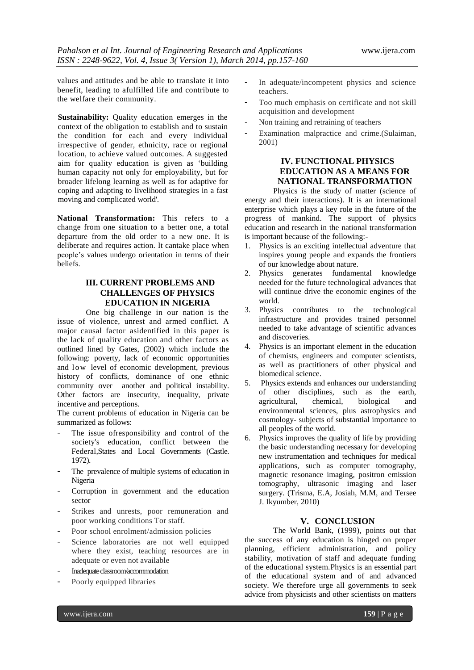values and attitudes and be able to translate it into benefit, leading to afulfilled life and contribute to the welfare their community.

**Sustainability:** Quality education emerges in the context of the obligation to establish and to sustain the condition for each and every individual irrespective of gender, ethnicity, race or regional location, to achieve valued outcomes. A suggested aim for quality education is given as "building human capacity not only for employability, but for broader lifelong learning as well as for adaptive for coping and adapting to livelihood strategies in a fast moving and complicated world'.

**National Transformation:** This refers to a change from one situation to a better one, a total departure from the old order to a new one. It is deliberate and requires action. It cantake place when people"s values undergo orientation in terms of their beliefs.

## **III. CURRENT PROBLEMS AND CHALLENGES OF PHYSICS EDUCATION IN NIGERIA**

One big challenge in our nation is the issue of violence, unrest and armed conflict. A major causal factor asidentified in this paper is the lack of quality education and other factors as outlined lined by Gates, (2002) which include the following: poverty, lack of economic opportunities and low level of economic development, previous history of conflicts, dominance of one ethnic community over another and political instability. Other factors are insecurity, inequality, private incentive and perceptions.

The current problems of education in Nigeria can be summarized as follows:

- The issue of responsibility and control of the society's education, conflict between the Federal,States and Local Governments (Castle. 1972).
- The prevalence of multiple systems of education in Nigeria
- Corruption in government and the education sector
- Strikes and unrests, poor remuneration and poor working conditions Tor staff.
- Poor school enrolment/admission policies
- Science laboratories are not well equipped where they exist, teaching resources are in adequate or even not available
- Inadequate classroom/accommodation
- Poorly equipped libraries
- In adequate/incompetent physics and science teachers.
- Too much emphasis on certificate and not skill acquisition and development
- Non training and retraining of teachers
- Examination malpractice and crime.(Sulaiman, 2001)

## **IV. FUNCTIONAL PHYSICS EDUCATION AS A MEANS FOR NATIONAL TRANSFORMATION**

Physics is the study of matter (science of energy and their interactions). It is an international enterprise which plays a key role in the future of the progress of mankind. The support of physics education and research in the national transformation is important because of the following:-

- 1. Physics is an exciting intellectual adventure that inspires young people and expands the frontiers of our knowledge about nature.
- 2. Physics generates fundamental knowledge needed for the future technological advances that will continue drive the economic engines of the world.
- 3. Physics contributes to the technological infrastructure and provides trained personnel needed to take advantage of scientific advances and discoveries.
- 4. Physics is an important element in the education of chemists, engineers and computer scientists, as well as practitioners of other physical and biomedical science.
- 5. Physics extends and enhances our understanding of other disciplines, such as the earth, agricultural, chemical, biological and environmental sciences, plus astrophysics and cosmology- subjects of substantial importance to all peoples of the world.
- 6. Physics improves the quality of life by providing the basic understanding necessary for developing new instrumentation and techniques for medical applications, such as computer tomography, magnetic resonance imaging, positron emission tomography, ultrasonic imaging and laser surgery. (Trisma, E.A, Josiah, M.M, and Tersee J. Ikyumber, 2010)

### **V. CONCLUSION**

The World Bank, (1999), points out that the success of any education is hinged on proper planning, efficient administration, and policy stability, motivation of staff and adequate funding of the educational system.Physics is an essential part of the educational system and of and advanced society. We therefore urge all governments to seek advice from physicists and other scientists on matters